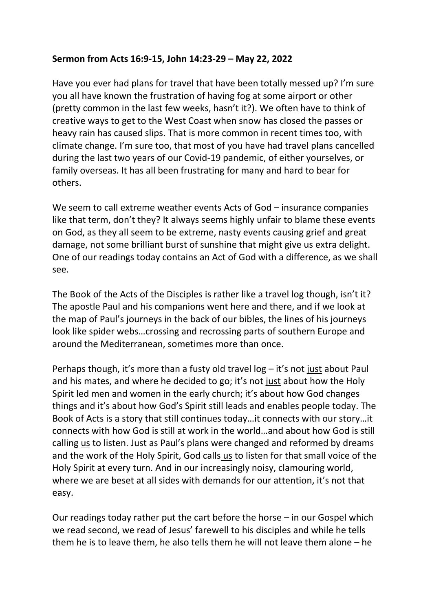## **Sermon from Acts 16:9-15, John 14:23-29 – May 22, 2022**

Have you ever had plans for travel that have been totally messed up? I'm sure you all have known the frustration of having fog at some airport or other (pretty common in the last few weeks, hasn't it?). We often have to think of creative ways to get to the West Coast when snow has closed the passes or heavy rain has caused slips. That is more common in recent times too, with climate change. I'm sure too, that most of you have had travel plans cancelled during the last two years of our Covid-19 pandemic, of either yourselves, or family overseas. It has all been frustrating for many and hard to bear for others.

We seem to call extreme weather events Acts of God – insurance companies like that term, don't they? It always seems highly unfair to blame these events on God, as they all seem to be extreme, nasty events causing grief and great damage, not some brilliant burst of sunshine that might give us extra delight. One of our readings today contains an Act of God with a difference, as we shall see.

The Book of the Acts of the Disciples is rather like a travel log though, isn't it? The apostle Paul and his companions went here and there, and if we look at the map of Paul's journeys in the back of our bibles, the lines of his journeys look like spider webs…crossing and recrossing parts of southern Europe and around the Mediterranean, sometimes more than once.

Perhaps though, it's more than a fusty old travel log – it's not just about Paul and his mates, and where he decided to go; it's not just about how the Holy Spirit led men and women in the early church; it's about how God changes things and it's about how God's Spirit still leads and enables people today. The Book of Acts is a story that still continues today…it connects with our story…it connects with how God is still at work in the world…and about how God is still calling us to listen. Just as Paul's plans were changed and reformed by dreams and the work of the Holy Spirit, God calls us to listen for that small voice of the Holy Spirit at every turn. And in our increasingly noisy, clamouring world, where we are beset at all sides with demands for our attention, it's not that easy.

Our readings today rather put the cart before the horse – in our Gospel which we read second, we read of Jesus' farewell to his disciples and while he tells them he is to leave them, he also tells them he will not leave them alone – he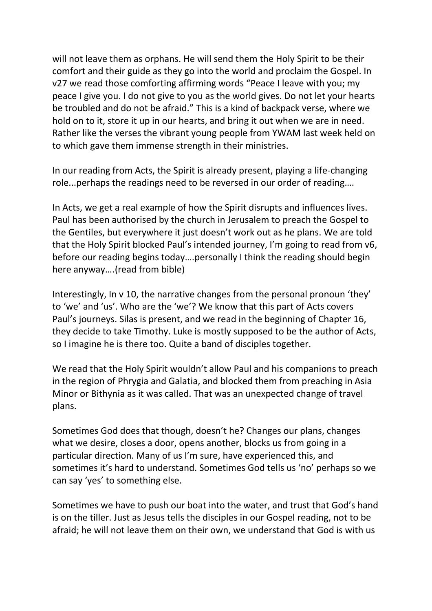will not leave them as orphans. He will send them the Holy Spirit to be their comfort and their guide as they go into the world and proclaim the Gospel. In v27 we read those comforting affirming words "Peace I leave with you; my peace I give you. I do not give to you as the world gives. Do not let your hearts be troubled and do not be afraid." This is a kind of backpack verse, where we hold on to it, store it up in our hearts, and bring it out when we are in need. Rather like the verses the vibrant young people from YWAM last week held on to which gave them immense strength in their ministries.

In our reading from Acts, the Spirit is already present, playing a life-changing role...perhaps the readings need to be reversed in our order of reading….

In Acts, we get a real example of how the Spirit disrupts and influences lives. Paul has been authorised by the church in Jerusalem to preach the Gospel to the Gentiles, but everywhere it just doesn't work out as he plans. We are told that the Holy Spirit blocked Paul's intended journey, I'm going to read from v6, before our reading begins today….personally I think the reading should begin here anyway….(read from bible)

Interestingly, In v 10, the narrative changes from the personal pronoun 'they' to 'we' and 'us'. Who are the 'we'? We know that this part of Acts covers Paul's journeys. Silas is present, and we read in the beginning of Chapter 16, they decide to take Timothy. Luke is mostly supposed to be the author of Acts, so I imagine he is there too. Quite a band of disciples together.

We read that the Holy Spirit wouldn't allow Paul and his companions to preach in the region of Phrygia and Galatia, and blocked them from preaching in Asia Minor or Bithynia as it was called. That was an unexpected change of travel plans.

Sometimes God does that though, doesn't he? Changes our plans, changes what we desire, closes a door, opens another, blocks us from going in a particular direction. Many of us I'm sure, have experienced this, and sometimes it's hard to understand. Sometimes God tells us 'no' perhaps so we can say 'yes' to something else.

Sometimes we have to push our boat into the water, and trust that God's hand is on the tiller. Just as Jesus tells the disciples in our Gospel reading, not to be afraid; he will not leave them on their own, we understand that God is with us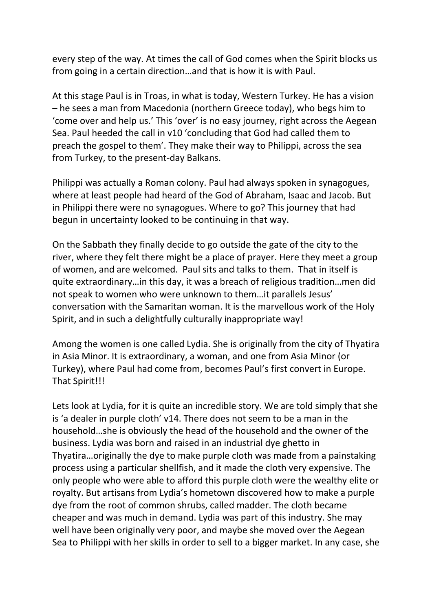every step of the way. At times the call of God comes when the Spirit blocks us from going in a certain direction…and that is how it is with Paul.

At this stage Paul is in Troas, in what is today, Western Turkey. He has a vision – he sees a man from Macedonia (northern Greece today), who begs him to 'come over and help us.' This 'over' is no easy journey, right across the Aegean Sea. Paul heeded the call in v10 'concluding that God had called them to preach the gospel to them'. They make their way to Philippi, across the sea from Turkey, to the present-day Balkans.

Philippi was actually a Roman colony. Paul had always spoken in synagogues, where at least people had heard of the God of Abraham, Isaac and Jacob. But in Philippi there were no synagogues. Where to go? This journey that had begun in uncertainty looked to be continuing in that way.

On the Sabbath they finally decide to go outside the gate of the city to the river, where they felt there might be a place of prayer. Here they meet a group of women, and are welcomed. Paul sits and talks to them. That in itself is quite extraordinary…in this day, it was a breach of religious tradition…men did not speak to women who were unknown to them…it parallels Jesus' conversation with the Samaritan woman. It is the marvellous work of the Holy Spirit, and in such a delightfully culturally inappropriate way!

Among the women is one called Lydia. She is originally from the city of Thyatira in Asia Minor. It is extraordinary, a woman, and one from Asia Minor (or Turkey), where Paul had come from, becomes Paul's first convert in Europe. That Spirit!!!

Lets look at Lydia, for it is quite an incredible story. We are told simply that she is 'a dealer in purple cloth' v14. There does not seem to be a man in the household…she is obviously the head of the household and the owner of the business. Lydia was born and raised in an industrial dye ghetto in Thyatira…originally the dye to make purple cloth was made from a painstaking process using a particular shellfish, and it made the cloth very expensive. The only people who were able to afford this purple cloth were the wealthy elite or royalty. But artisans from Lydia's hometown discovered how to make a purple dye from the root of common shrubs, called madder. The cloth became cheaper and was much in demand. Lydia was part of this industry. She may well have been originally very poor, and maybe she moved over the Aegean Sea to Philippi with her skills in order to sell to a bigger market. In any case, she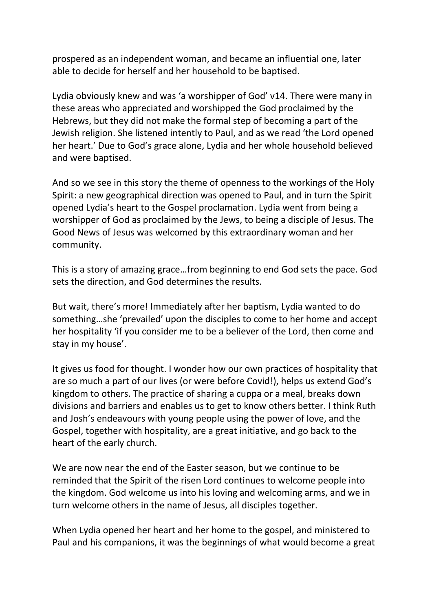prospered as an independent woman, and became an influential one, later able to decide for herself and her household to be baptised.

Lydia obviously knew and was 'a worshipper of God' v14. There were many in these areas who appreciated and worshipped the God proclaimed by the Hebrews, but they did not make the formal step of becoming a part of the Jewish religion. She listened intently to Paul, and as we read 'the Lord opened her heart.' Due to God's grace alone, Lydia and her whole household believed and were baptised.

And so we see in this story the theme of openness to the workings of the Holy Spirit: a new geographical direction was opened to Paul, and in turn the Spirit opened Lydia's heart to the Gospel proclamation. Lydia went from being a worshipper of God as proclaimed by the Jews, to being a disciple of Jesus. The Good News of Jesus was welcomed by this extraordinary woman and her community.

This is a story of amazing grace…from beginning to end God sets the pace. God sets the direction, and God determines the results.

But wait, there's more! Immediately after her baptism, Lydia wanted to do something…she 'prevailed' upon the disciples to come to her home and accept her hospitality 'if you consider me to be a believer of the Lord, then come and stay in my house'.

It gives us food for thought. I wonder how our own practices of hospitality that are so much a part of our lives (or were before Covid!), helps us extend God's kingdom to others. The practice of sharing a cuppa or a meal, breaks down divisions and barriers and enables us to get to know others better. I think Ruth and Josh's endeavours with young people using the power of love, and the Gospel, together with hospitality, are a great initiative, and go back to the heart of the early church.

We are now near the end of the Easter season, but we continue to be reminded that the Spirit of the risen Lord continues to welcome people into the kingdom. God welcome us into his loving and welcoming arms, and we in turn welcome others in the name of Jesus, all disciples together.

When Lydia opened her heart and her home to the gospel, and ministered to Paul and his companions, it was the beginnings of what would become a great